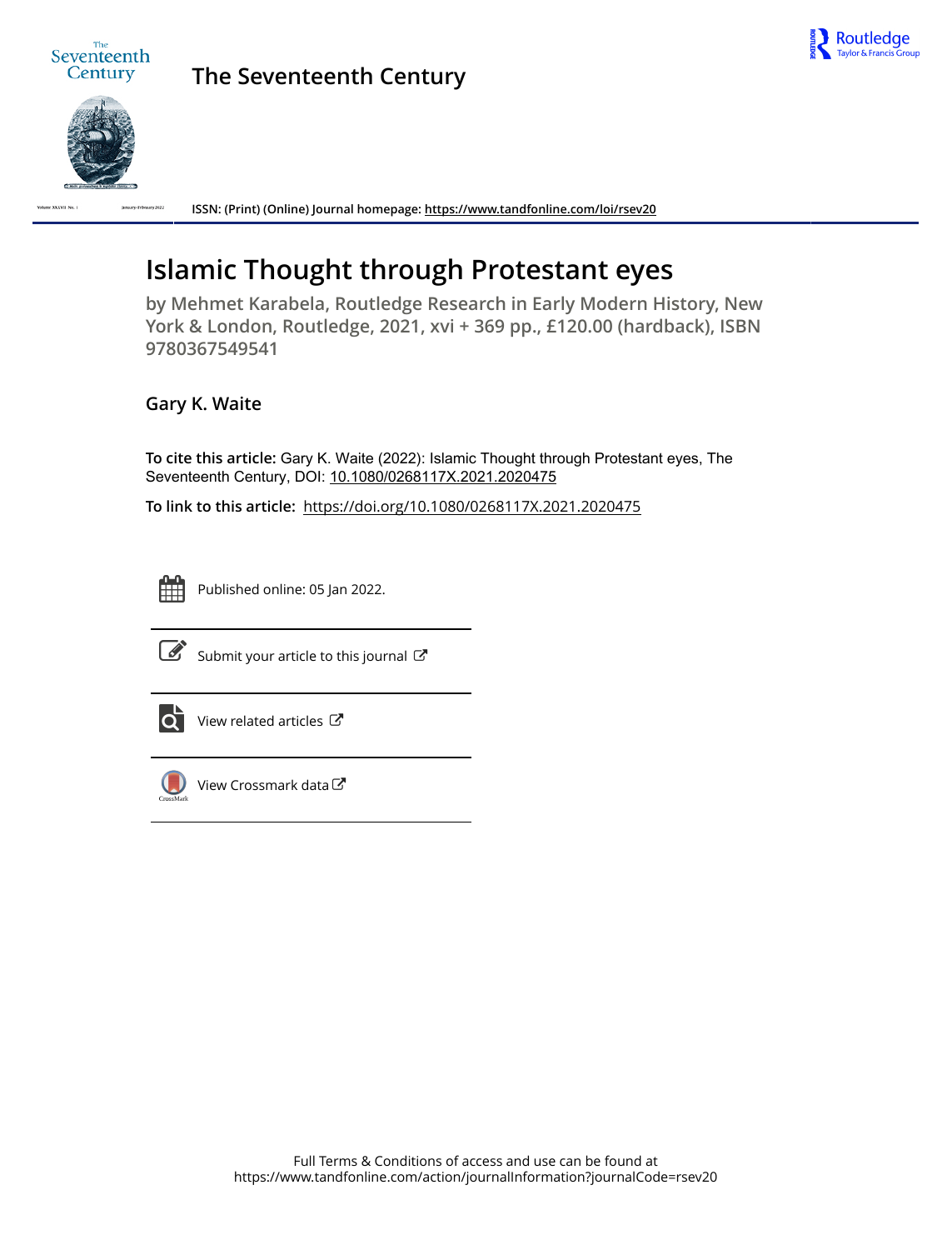



**The Seventeenth Century**



**ISSN: (Print) (Online) Journal homepage:<https://www.tandfonline.com/loi/rsev20>**

## **Islamic Thought through Protestant eyes**

**by Mehmet Karabela, Routledge Research in Early Modern History, New York & London, Routledge, 2021, xvi + 369 pp., £120.00 (hardback), ISBN 9780367549541**

**Gary K. Waite**

**To cite this article:** Gary K. Waite (2022): Islamic Thought through Protestant eyes, The Seventeenth Century, DOI: [10.1080/0268117X.2021.2020475](https://www.tandfonline.com/action/showCitFormats?doi=10.1080/0268117X.2021.2020475)

**To link to this article:** <https://doi.org/10.1080/0268117X.2021.2020475>



Published online: 05 Jan 2022.



 $\overrightarrow{S}$  [Submit your article to this journal](https://www.tandfonline.com/action/authorSubmission?journalCode=rsev20&show=instructions)  $\overrightarrow{S}$ 



[View related articles](https://www.tandfonline.com/doi/mlt/10.1080/0268117X.2021.2020475) C



[View Crossmark data](http://crossmark.crossref.org/dialog/?doi=10.1080/0268117X.2021.2020475&domain=pdf&date_stamp=2022-01-05)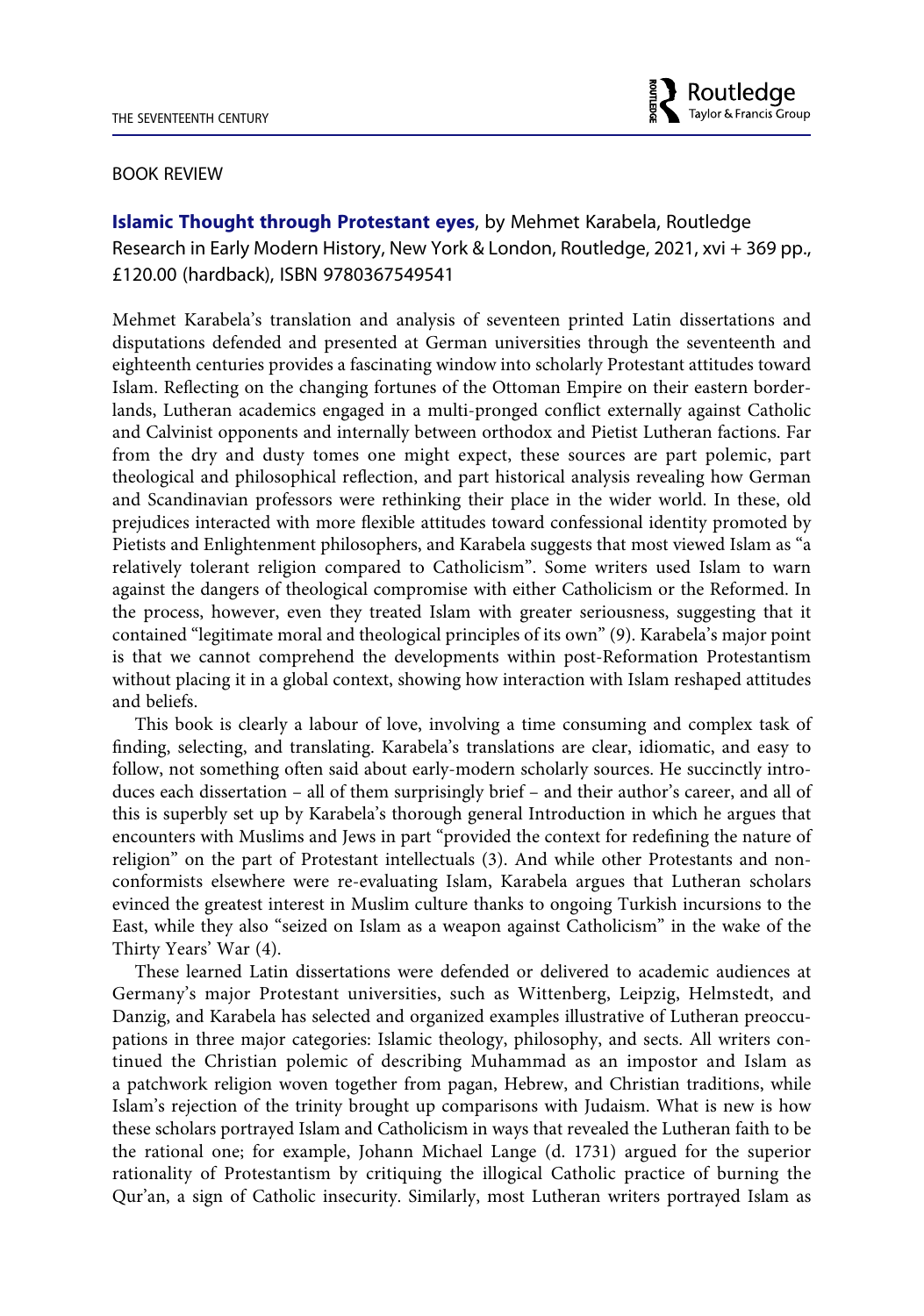

## BOOK REVIEW

**Islamic Thought through Protestant eyes**, by Mehmet Karabela, Routledge Research in Early Modern History, New York & London, Routledge, 2021, xvi + 369 pp., £120.00 (hardback), ISBN 9780367549541

Mehmet Karabela's translation and analysis of seventeen printed Latin dissertations and disputations defended and presented at German universities through the seventeenth and eighteenth centuries provides a fascinating window into scholarly Protestant attitudes toward Islam. Reflecting on the changing fortunes of the Ottoman Empire on their eastern borderlands, Lutheran academics engaged in a multi-pronged conflict externally against Catholic and Calvinist opponents and internally between orthodox and Pietist Lutheran factions. Far from the dry and dusty tomes one might expect, these sources are part polemic, part theological and philosophical reflection, and part historical analysis revealing how German and Scandinavian professors were rethinking their place in the wider world. In these, old prejudices interacted with more flexible attitudes toward confessional identity promoted by Pietists and Enlightenment philosophers, and Karabela suggests that most viewed Islam as "a relatively tolerant religion compared to Catholicism". Some writers used Islam to warn against the dangers of theological compromise with either Catholicism or the Reformed. In the process, however, even they treated Islam with greater seriousness, suggesting that it contained "legitimate moral and theological principles of its own" (9). Karabela's major point is that we cannot comprehend the developments within post-Reformation Protestantism without placing it in a global context, showing how interaction with Islam reshaped attitudes and beliefs.

This book is clearly a labour of love, involving a time consuming and complex task of finding, selecting, and translating. Karabela's translations are clear, idiomatic, and easy to follow, not something often said about early-modern scholarly sources. He succinctly introduces each dissertation – all of them surprisingly brief – and their author's career, and all of this is superbly set up by Karabela's thorough general Introduction in which he argues that encounters with Muslims and Jews in part "provided the context for redefining the nature of religion" on the part of Protestant intellectuals (3). And while other Protestants and nonconformists elsewhere were re-evaluating Islam, Karabela argues that Lutheran scholars evinced the greatest interest in Muslim culture thanks to ongoing Turkish incursions to the East, while they also "seized on Islam as a weapon against Catholicism" in the wake of the Thirty Years' War (4).

These learned Latin dissertations were defended or delivered to academic audiences at Germany's major Protestant universities, such as Wittenberg, Leipzig, Helmstedt, and Danzig, and Karabela has selected and organized examples illustrative of Lutheran preoccupations in three major categories: Islamic theology, philosophy, and sects. All writers continued the Christian polemic of describing Muhammad as an impostor and Islam as a patchwork religion woven together from pagan, Hebrew, and Christian traditions, while Islam's rejection of the trinity brought up comparisons with Judaism. What is new is how these scholars portrayed Islam and Catholicism in ways that revealed the Lutheran faith to be the rational one; for example, Johann Michael Lange (d. 1731) argued for the superior rationality of Protestantism by critiquing the illogical Catholic practice of burning the Qur'an, a sign of Catholic insecurity. Similarly, most Lutheran writers portrayed Islam as